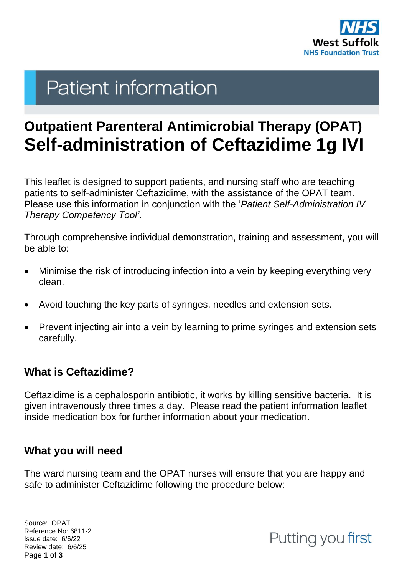

# **Patient information**

# **Outpatient Parenteral Antimicrobial Therapy (OPAT) Self-administration of Ceftazidime 1g IVI**

This leaflet is designed to support patients, and nursing staff who are teaching patients to self-administer Ceftazidime, with the assistance of the OPAT team. Please use this information in conjunction with the '*Patient Self-Administration IV Therapy Competency Tool'*.

Through comprehensive individual demonstration, training and assessment, you will be able to:

- Minimise the risk of introducing infection into a vein by keeping everything very clean.
- Avoid touching the key parts of syringes, needles and extension sets.
- Prevent injecting air into a vein by learning to prime syringes and extension sets carefully.

## **What is Ceftazidime?**

Ceftazidime is a cephalosporin antibiotic, it works by killing sensitive bacteria. It is given intravenously three times a day. Please read the patient information leaflet inside medication box for further information about your medication.

### **What you will need**

The ward nursing team and the OPAT nurses will ensure that you are happy and safe to administer Ceftazidime following the procedure below:

Source: OPAT Reference No: 6811-2 Issue date: 6/6/22 Review date: 6/6/25 Page **1** of **3**

Putting you first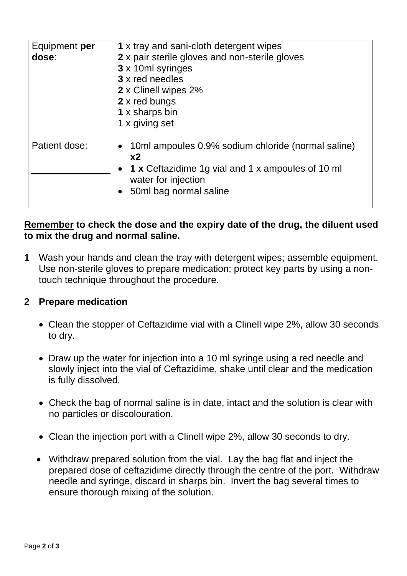| Equipment per<br>dose: | 1 x tray and sani-cloth detergent wipes<br>2 x pair sterile gloves and non-sterile gloves<br>3 x 10ml syringes<br>3 x red needles<br>2 x Clinell wipes 2%<br>2 x red bungs<br>1 x sharps bin<br>1 x giving set |
|------------------------|----------------------------------------------------------------------------------------------------------------------------------------------------------------------------------------------------------------|
| Patient dose:          | 10ml ampoules 0.9% sodium chloride (normal saline)<br>x <sub>2</sub><br>1 x Ceftazidime 1g vial and 1 x ampoules of 10 ml<br>water for injection<br>50ml bag normal saline                                     |

#### **Remember to check the dose and the expiry date of the drug, the diluent used to mix the drug and normal saline.**

**1** Wash your hands and clean the tray with detergent wipes; assemble equipment. Use non-sterile gloves to prepare medication; protect key parts by using a nontouch technique throughout the procedure.

#### **2 Prepare medication**

- Clean the stopper of Ceftazidime vial with a Clinell wipe 2%, allow 30 seconds to dry.
- Draw up the water for injection into a 10 ml syringe using a red needle and slowly inject into the vial of Ceftazidime, shake until clear and the medication is fully dissolved.
- Check the bag of normal saline is in date, intact and the solution is clear with no particles or discolouration.
- Clean the injection port with a Clinell wipe 2%, allow 30 seconds to dry.
- Withdraw prepared solution from the vial. Lay the bag flat and inject the prepared dose of ceftazidime directly through the centre of the port. Withdraw needle and syringe, discard in sharps bin. Invert the bag several times to ensure thorough mixing of the solution.